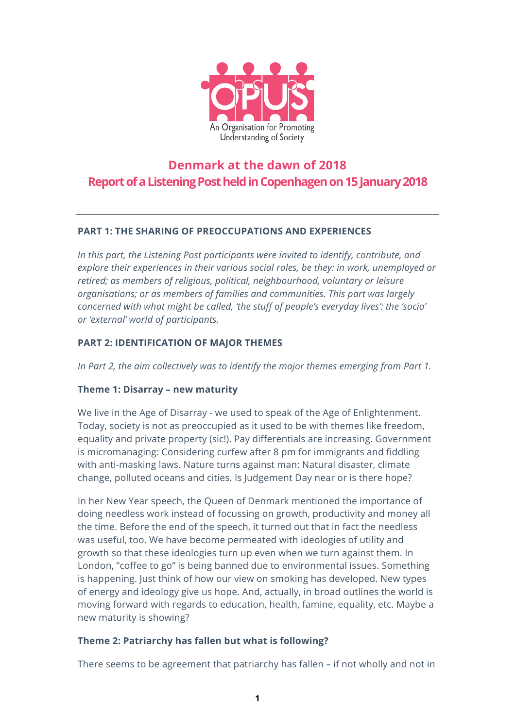

# **Denmark at the dawn of 2018 Report of a Listening Post held in Copenhagenon 15January2018**

# **PART 1: THE SHARING OF PREOCCUPATIONS AND EXPERIENCES**

*In this part, the Listening Post participants were invited to identify, contribute, and explore their experiences in their various social roles, be they: in work, unemployed or retired; as members of religious, political, neighbourhood, voluntary or leisure organisations; or as members of families and communities. This part was largely concerned with what might be called, 'the stuff of people's everyday lives': the 'socio' or 'external' world of participants.*

# **PART 2: IDENTIFICATION OF MAJOR THEMES**

*In Part 2, the aim collectively was to identify the major themes emerging from Part 1.*

# **Theme 1: Disarray – new maturity**

We live in the Age of Disarray - we used to speak of the Age of Enlightenment. Today, society is not as preoccupied as it used to be with themes like freedom, equality and private property (sic!). Pay differentials are increasing. Government is micromanaging: Considering curfew after 8 pm for immigrants and fiddling with anti-masking laws. Nature turns against man: Natural disaster, climate change, polluted oceans and cities. Is Judgement Day near or is there hope?

In her New Year speech, the Queen of Denmark mentioned the importance of doing needless work instead of focussing on growth, productivity and money all the time. Before the end of the speech, it turned out that in fact the needless was useful, too. We have become permeated with ideologies of utility and growth so that these ideologies turn up even when we turn against them. In London, "coffee to go" is being banned due to environmental issues. Something is happening. Just think of how our view on smoking has developed. New types of energy and ideology give us hope. And, actually, in broad outlines the world is moving forward with regards to education, health, famine, equality, etc. Maybe a new maturity is showing?

# **Theme 2: Patriarchy has fallen but what is following?**

There seems to be agreement that patriarchy has fallen – if not wholly and not in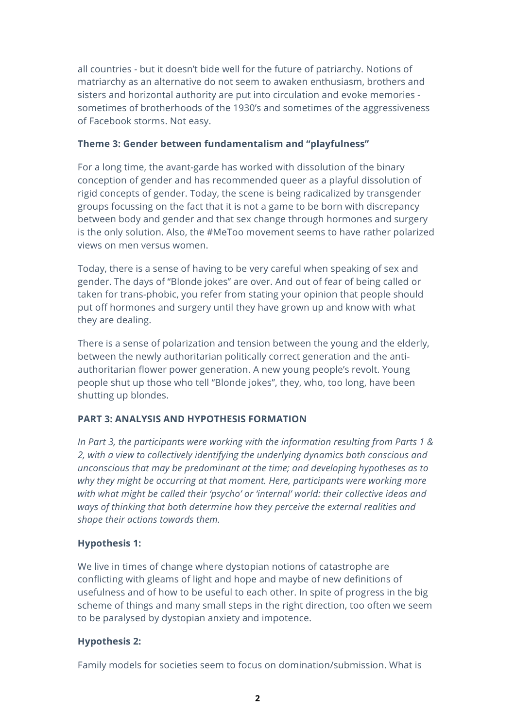all countries - but it doesn't bide well for the future of patriarchy. Notions of matriarchy as an alternative do not seem to awaken enthusiasm, brothers and sisters and horizontal authority are put into circulation and evoke memories sometimes of brotherhoods of the 1930's and sometimes of the aggressiveness of Facebook storms. Not easy.

## **Theme 3: Gender between fundamentalism and "playfulness"**

For a long time, the avant-garde has worked with dissolution of the binary conception of gender and has recommended queer as a playful dissolution of rigid concepts of gender. Today, the scene is being radicalized by transgender groups focussing on the fact that it is not a game to be born with discrepancy between body and gender and that sex change through hormones and surgery is the only solution. Also, the #MeToo movement seems to have rather polarized views on men versus women.

Today, there is a sense of having to be very careful when speaking of sex and gender. The days of "Blonde jokes" are over. And out of fear of being called or taken for trans-phobic, you refer from stating your opinion that people should put off hormones and surgery until they have grown up and know with what they are dealing.

There is a sense of polarization and tension between the young and the elderly, between the newly authoritarian politically correct generation and the antiauthoritarian flower power generation. A new young people's revolt. Young people shut up those who tell "Blonde jokes", they, who, too long, have been shutting up blondes.

# **PART 3: ANALYSIS AND HYPOTHESIS FORMATION**

*In Part 3, the participants were working with the information resulting from Parts 1 & 2, with a view to collectively identifying the underlying dynamics both conscious and unconscious that may be predominant at the time; and developing hypotheses as to why they might be occurring at that moment. Here, participants were working more with what might be called their 'psycho' or 'internal' world: their collective ideas and ways of thinking that both determine how they perceive the external realities and shape their actions towards them.*

# **Hypothesis 1:**

We live in times of change where dystopian notions of catastrophe are conflicting with gleams of light and hope and maybe of new definitions of usefulness and of how to be useful to each other. In spite of progress in the big scheme of things and many small steps in the right direction, too often we seem to be paralysed by dystopian anxiety and impotence.

### **Hypothesis 2:**

Family models for societies seem to focus on domination/submission. What is